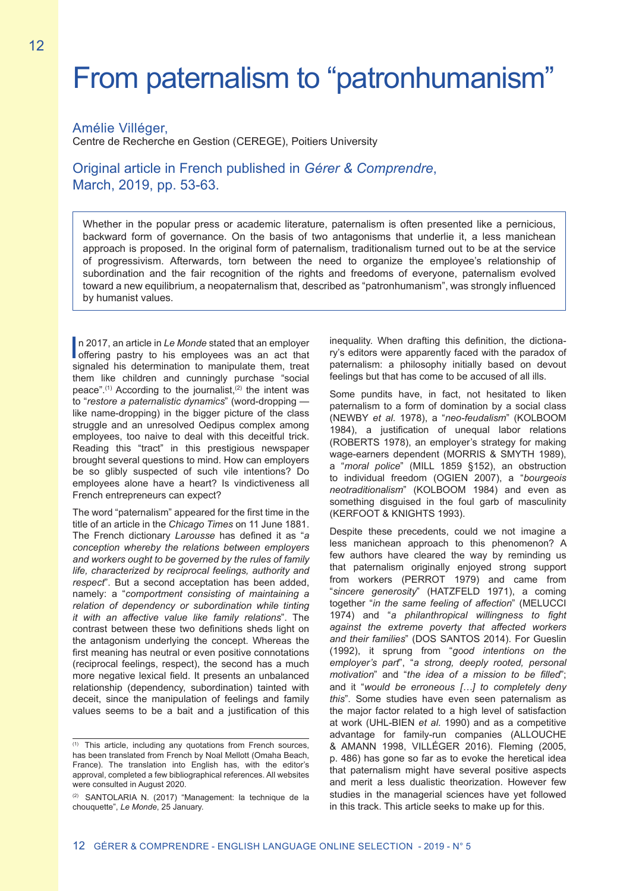# From paternalism to "patronhumanism"

### Amélie Villéger,

Centre de Recherche en Gestion (CEREGE), Poitiers University

## Original article in French published in *Gérer & Comprendre*, March, 2019, pp. 53-63.

Whether in the popular press or academic literature, paternalism is often presented like a pernicious, backward form of governance. On the basis of two antagonisms that underlie it, a less manichean approach is proposed. In the original form of paternalism, traditionalism turned out to be at the service of progressivism. Afterwards, torn between the need to organize the employee's relationship of subordination and the fair recognition of the rights and freedoms of everyone, paternalism evolved toward a new equilibrium, a neopaternalism that, described as "patronhumanism", was strongly influenced by humanist values.

In 2017, an article in Le Monde stated that an employer<br>offering pastry to his employees was an act that<br>circulate them tract n 2017, an article in *Le Monde* stated that an employer signaled his determination to manipulate them, treat them like children and cunningly purchase "social peace".<sup>(1)</sup> According to the journalist,<sup>(2)</sup> the intent was to "*restore a paternalistic dynamics*" (word-dropping like name-dropping) in the bigger picture of the class struggle and an unresolved Oedipus complex among employees, too naive to deal with this deceitful trick. Reading this "tract" in this prestigious newspaper brought several questions to mind. How can employers be so glibly suspected of such vile intentions? Do employees alone have a heart? Is vindictiveness all French entrepreneurs can expect?

The word "paternalism" appeared for the first time in the title of an article in the *Chicago Times* on 11 June 1881. The French dictionary *Larousse* has defined it as "*a conception whereby the relations between employers and workers ought to be governed by the rules of family life, characterized by reciprocal feelings, authority and respect*". But a second acceptation has been added, namely: a "*comportment consisting of maintaining a relation of dependency or subordination while tinting it with an affective value like family relations*". The contrast between these two definitions sheds light on the antagonism underlying the concept. Whereas the first meaning has neutral or even positive connotations (reciprocal feelings, respect), the second has a much more negative lexical field. It presents an unbalanced relationship (dependency, subordination) tainted with deceit, since the manipulation of feelings and family values seems to be a bait and a justification of this inequality. When drafting this definition, the dictionary's editors were apparently faced with the paradox of paternalism: a philosophy initially based on devout feelings but that has come to be accused of all ills.

Some pundits have, in fact, not hesitated to liken paternalism to a form of domination by a social class (NEWBY *et al*. 1978), a "*neo-feudalism*" (KOLBOOM 1984), a justification of unequal labor relations (ROBERTS 1978), an employer's strategy for making wage-earners dependent (MORRIS & SMYTH 1989), a "*moral police*" (MILL 1859 §152), an obstruction to individual freedom (OGIEN 2007), a "*bourgeois neotraditionalism*" (KOLBOOM 1984) and even as something disguised in the foul garb of masculinity (KERFOOT & KNIGHTS 1993).

Despite these precedents, could we not imagine a less manichean approach to this phenomenon? A few authors have cleared the way by reminding us that paternalism originally enjoyed strong support from workers (PERROT 1979) and came from "*sincere generosity*" (HATZFELD 1971), a coming together "*in the same feeling of affection*" (MELUCCI 1974) and "*a philanthropical willingness to fight against the extreme poverty that affected workers and their families*" (DOS SANTOS 2014). For Gueslin (1992), it sprung from "*good intentions on the employer's part*", "*a strong, deeply rooted, personal motivation*" and "*the idea of a mission to be filled*"; and it "*would be erroneous […] to completely deny this*". Some studies have even seen paternalism as the major factor related to a high level of satisfaction at work (UHL-BIEN *et al*. 1990) and as a competitive advantage for family-run companies (ALLOUCHE & AMANN 1998, VILLÉGER 2016). Fleming (2005, p. 486) has gone so far as to evoke the heretical idea that paternalism might have several positive aspects and merit a less dualistic theorization. However few studies in the managerial sciences have yet followed in this track. This article seeks to make up for this.

<sup>(1)</sup> This article, including any quotations from French sources, has been translated from French by Noal Mellott (Omaha Beach, France). The translation into English has, with the editor's approval, completed a few bibliographical references. All websites were consulted in August 2020.

<sup>(2)</sup> SANTOLARIA N. (2017) "Management: la technique de la chouquette", *Le Monde*, 25 January.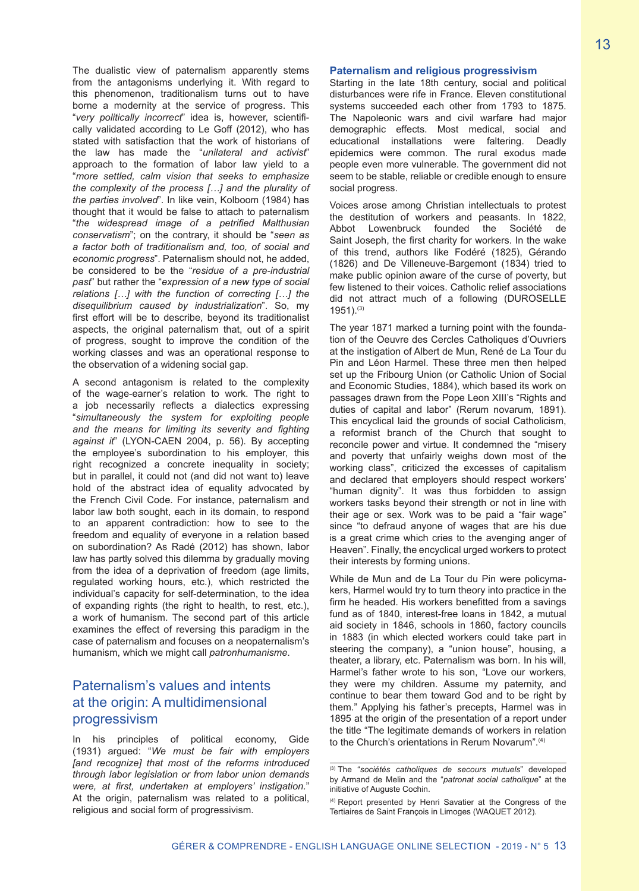The dualistic view of paternalism apparently stems from the antagonisms underlying it. With regard to this phenomenon, traditionalism turns out to have borne a modernity at the service of progress. This "*very politically incorrect*" idea is, however, scientifically validated according to Le Goff (2012), who has stated with satisfaction that the work of historians of the law has made the "*unilateral and activist*" approach to the formation of labor law yield to a "*more settled, calm vision that seeks to emphasize the complexity of the process […] and the plurality of the parties involved*". In like vein, Kolboom (1984) has thought that it would be false to attach to paternalism "*the widespread image of a petrified Malthusian conservatism*"; on the contrary, it should be "*seen as a factor both of traditionalism and, too, of social and economic progress*". Paternalism should not, he added, be considered to be the "*residue of a pre-industrial past*" but rather the "*expression of a new type of social relations […] with the function of correcting […] the disequilibrium caused by industrialization*". So, my first effort will be to describe, beyond its traditionalist aspects, the original paternalism that, out of a spirit of progress, sought to improve the condition of the working classes and was an operational response to the observation of a widening social gap.

A second antagonism is related to the complexity of the wage-earner's relation to work. The right to a job necessarily reflects a dialectics expressing "*simultaneously the system for exploiting people and the means for limiting its severity and fighting against it*" (LYON-CAEN 2004, p. 56). By accepting the employee's subordination to his employer, this right recognized a concrete inequality in society; but in parallel, it could not (and did not want to) leave hold of the abstract idea of equality advocated by the French Civil Code. For instance, paternalism and labor law both sought, each in its domain, to respond to an apparent contradiction: how to see to the freedom and equality of everyone in a relation based on subordination? As Radé (2012) has shown, labor law has partly solved this dilemma by gradually moving from the idea of a deprivation of freedom (age limits, regulated working hours, etc.), which restricted the individual's capacity for self-determination, to the idea of expanding rights (the right to health, to rest, etc.), a work of humanism. The second part of this article examines the effect of reversing this paradigm in the case of paternalism and focuses on a neopaternalism's humanism, which we might call *patronhumanisme*.

# Paternalism's values and intents at the origin: A multidimensional progressivism

In his principles of political economy, Gide (1931) argued: "*We must be fair with employers [and recognize] that most of the reforms introduced through labor legislation or from labor union demands were, at first, undertaken at employers' instigation.*" At the origin, paternalism was related to a political, religious and social form of progressivism.

Starting in the late 18th century, social and political disturbances were rife in France. Eleven constitutional systems succeeded each other from 1793 to 1875. The Napoleonic wars and civil warfare had major demographic effects. Most medical, social and educational installations were faltering. Deadly epidemics were common. The rural exodus made people even more vulnerable. The government did not seem to be stable, reliable or credible enough to ensure social progress.

Voices arose among Christian intellectuals to protest the destitution of workers and peasants. In 1822, Abbot Lowenbruck founded the Société de Saint Joseph, the first charity for workers. In the wake of this trend, authors like Fodéré (1825), Gérando (1826) and De Villeneuve-Bargemont (1834) tried to make public opinion aware of the curse of poverty, but few listened to their voices. Catholic relief associations did not attract much of a following (DUROSELLE 1951).(3)

The year 1871 marked a turning point with the foundation of the Oeuvre des Cercles Catholiques d'Ouvriers at the instigation of Albert de Mun, René de La Tour du Pin and Léon Harmel. These three men then helped set up the Fribourg Union (or Catholic Union of Social and Economic Studies, 1884), which based its work on passages drawn from the Pope Leon XIII's "Rights and duties of capital and labor" (Rerum novarum, 1891). This encyclical laid the grounds of social Catholicism, a reformist branch of the Church that sought to reconcile power and virtue. It condemned the "misery and poverty that unfairly weighs down most of the working class", criticized the excesses of capitalism and declared that employers should respect workers' "human dignity". It was thus forbidden to assign workers tasks beyond their strength or not in line with their age or sex. Work was to be paid a "fair wage" since "to defraud anyone of wages that are his due is a great crime which cries to the avenging anger of Heaven". Finally, the encyclical urged workers to protect their interests by forming unions.

While de Mun and de La Tour du Pin were policymakers, Harmel would try to turn theory into practice in the firm he headed. His workers benefitted from a savings fund as of 1840, interest-free loans in 1842, a mutual aid society in 1846, schools in 1860, factory councils in 1883 (in which elected workers could take part in steering the company), a "union house", housing, a theater, a library, etc. Paternalism was born. In his will, Harmel's father wrote to his son, "Love our workers, they were my children. Assume my paternity, and continue to bear them toward God and to be right by them." Applying his father's precepts, Harmel was in 1895 at the origin of the presentation of a report under the title "The legitimate demands of workers in relation to the Church's orientations in Rerum Novarum".(4)

<sup>(3)</sup> The "*sociétés catholiques de secours mutuels*" developed by Armand de Melin and the "*patronat social catholique*" at the initiative of Auguste Cochin.

<sup>(4)</sup> Report presented by Henri Savatier at the Congress of the Tertiaires de Saint François in Limoges (WAQUET 2012).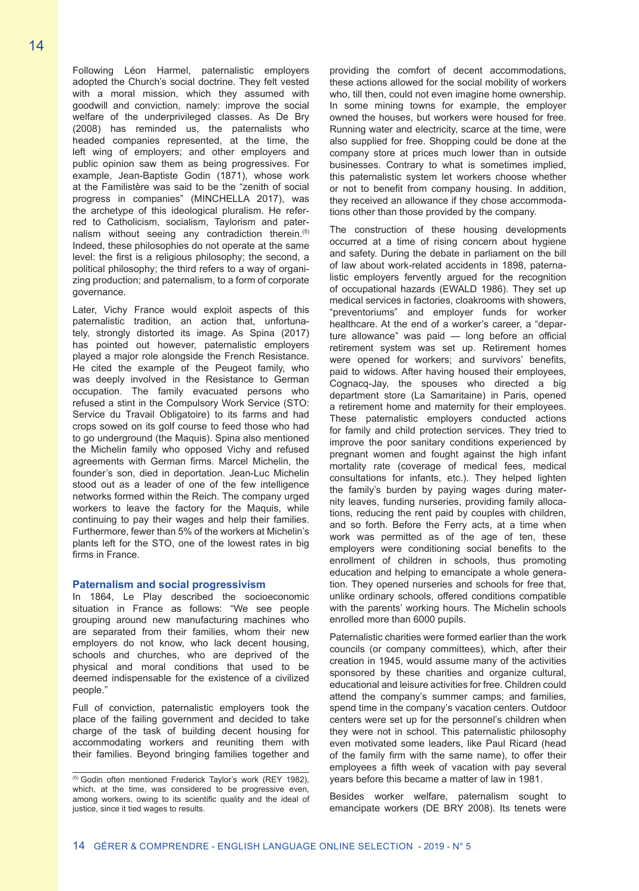Following Léon Harmel, paternalistic employers adopted the Church's social doctrine. They felt vested with a moral mission, which they assumed with goodwill and conviction, namely: improve the social welfare of the underprivileged classes. As De Bry (2008) has reminded us, the paternalists who headed companies represented, at the time, the left wing of employers; and other employers and public opinion saw them as being progressives. For example, Jean-Baptiste Godin (1871), whose work at the Familistère was said to be the "zenith of social progress in companies" (MINCHELLA 2017), was the archetype of this ideological pluralism. He referred to Catholicism, socialism, Taylorism and paternalism without seeing any contradiction therein.<sup>(5)</sup> Indeed, these philosophies do not operate at the same level: the first is a religious philosophy; the second, a political philosophy; the third refers to a way of organizing production; and paternalism, to a form of corporate governance.

Later, Vichy France would exploit aspects of this paternalistic tradition, an action that, unfortunately, strongly distorted its image. As Spina (2017) has pointed out however, paternalistic employers played a major role alongside the French Resistance. He cited the example of the Peugeot family, who was deeply involved in the Resistance to German occupation. The family evacuated persons who refused a stint in the Compulsory Work Service (STO: Service du Travail Obligatoire) to its farms and had crops sowed on its golf course to feed those who had to go underground (the Maquis). Spina also mentioned the Michelin family who opposed Vichy and refused agreements with German firms. Marcel Michelin, the founder's son, died in deportation. Jean-Luc Michelin stood out as a leader of one of the few intelligence networks formed within the Reich. The company urged workers to leave the factory for the Maquis, while continuing to pay their wages and help their families. Furthermore, fewer than 5% of the workers at Michelin's plants left for the STO, one of the lowest rates in big firms in France.

#### **Paternalism and social progressivism**

In 1864, Le Play described the socioeconomic situation in France as follows: "We see people grouping around new manufacturing machines who are separated from their families, whom their new employers do not know, who lack decent housing, schools and churches, who are deprived of the physical and moral conditions that used to be deemed indispensable for the existence of a civilized people."

Full of conviction, paternalistic employers took the place of the failing government and decided to take charge of the task of building decent housing for accommodating workers and reuniting them with their families. Beyond bringing families together and

providing the comfort of decent accommodations, these actions allowed for the social mobility of workers who, till then, could not even imagine home ownership. In some mining towns for example, the employer owned the houses, but workers were housed for free. Running water and electricity, scarce at the time, were also supplied for free. Shopping could be done at the company store at prices much lower than in outside businesses. Contrary to what is sometimes implied, this paternalistic system let workers choose whether or not to benefit from company housing. In addition, they received an allowance if they chose accommodations other than those provided by the company.

The construction of these housing developments occurred at a time of rising concern about hygiene and safety. During the debate in parliament on the bill of law about work-related accidents in 1898, paternalistic employers fervently argued for the recognition of occupational hazards (EWALD 1986). They set up medical services in factories, cloakrooms with showers, "preventoriums" and employer funds for worker healthcare. At the end of a worker's career, a "departure allowance" was paid — long before an official retirement system was set up. Retirement homes were opened for workers; and survivors' benefits, paid to widows. After having housed their employees, Cognacq-Jay, the spouses who directed a big department store (La Samaritaine) in Paris, opened a retirement home and maternity for their employees. These paternalistic employers conducted actions for family and child protection services. They tried to improve the poor sanitary conditions experienced by pregnant women and fought against the high infant mortality rate (coverage of medical fees, medical consultations for infants, etc.). They helped lighten the family's burden by paying wages during maternity leaves, funding nurseries, providing family allocations, reducing the rent paid by couples with children, and so forth. Before the Ferry acts, at a time when work was permitted as of the age of ten, these employers were conditioning social benefits to the enrollment of children in schools, thus promoting education and helping to emancipate a whole generation. They opened nurseries and schools for free that, unlike ordinary schools, offered conditions compatible with the parents' working hours. The Michelin schools enrolled more than 6000 pupils.

Paternalistic charities were formed earlier than the work councils (or company committees), which, after their creation in 1945, would assume many of the activities sponsored by these charities and organize cultural, educational and leisure activities for free. Children could attend the company's summer camps; and families, spend time in the company's vacation centers. Outdoor centers were set up for the personnel's children when they were not in school. This paternalistic philosophy even motivated some leaders, like Paul Ricard (head of the family firm with the same name), to offer their employees a fifth week of vacation with pay several years before this became a matter of law in 1981.

Besides worker welfare, paternalism sought to emancipate workers (DE BRY 2008). Its tenets were

<sup>&</sup>lt;sup>(5)</sup> Godin often mentioned Frederick Taylor's work (REY 1982), which, at the time, was considered to be progressive even, among workers, owing to its scientific quality and the ideal of justice, since it tied wages to results.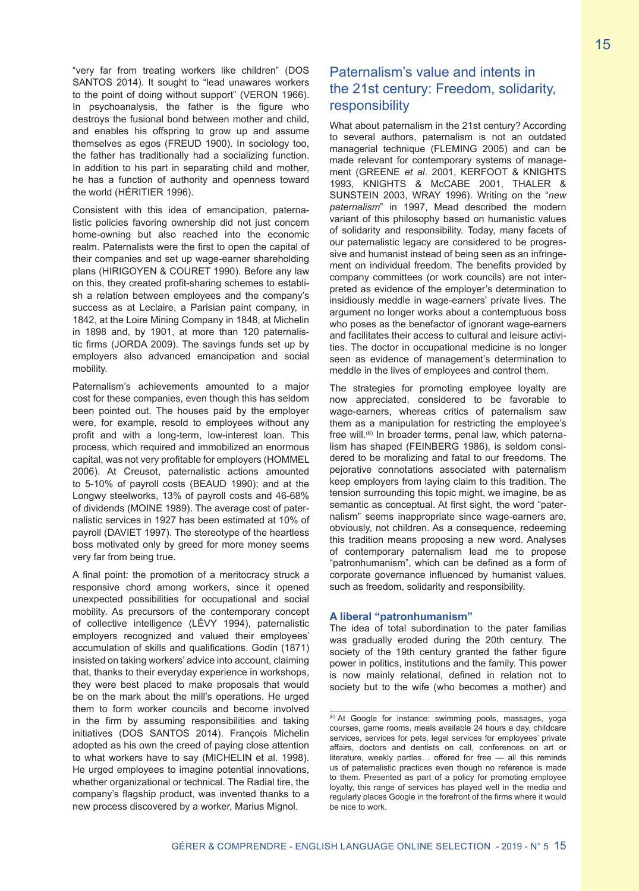"very far from treating workers like children" (DOS SANTOS 2014). It sought to "lead unawares workers to the point of doing without support" (VERON 1966). In psychoanalysis, the father is the figure who destroys the fusional bond between mother and child, and enables his offspring to grow up and assume themselves as egos (FREUD 1900). In sociology too, the father has traditionally had a socializing function. In addition to his part in separating child and mother, he has a function of authority and openness toward the world (HÉRITIER 1996).

Consistent with this idea of emancipation, paternalistic policies favoring ownership did not just concern home-owning but also reached into the economic realm. Paternalists were the first to open the capital of their companies and set up wage-earner shareholding plans (HIRIGOYEN & COURET 1990). Before any law on this, they created profit-sharing schemes to establish a relation between employees and the company's success as at Leclaire, a Parisian paint company, in 1842, at the Loire Mining Company in 1848, at Michelin in 1898 and, by 1901, at more than 120 paternalistic firms (JORDA 2009). The savings funds set up by employers also advanced emancipation and social mobility.

Paternalism's achievements amounted to a major cost for these companies, even though this has seldom been pointed out. The houses paid by the employer were, for example, resold to employees without any profit and with a long-term, low-interest loan. This process, which required and immobilized an enormous capital, was not very profitable for employers (HOMMEL 2006). At Creusot, paternalistic actions amounted to 5-10% of payroll costs (BEAUD 1990); and at the Longwy steelworks, 13% of payroll costs and 46-68% of dividends (MOINE 1989). The average cost of paternalistic services in 1927 has been estimated at 10% of payroll (DAVIET 1997). The stereotype of the heartless boss motivated only by greed for more money seems very far from being true.

A final point: the promotion of a meritocracy struck a responsive chord among workers, since it opened unexpected possibilities for occupational and social mobility. As precursors of the contemporary concept of collective intelligence (LÉVY 1994), paternalistic employers recognized and valued their employees' accumulation of skills and qualifications. Godin (1871) insisted on taking workers' advice into account, claiming that, thanks to their everyday experience in workshops, they were best placed to make proposals that would be on the mark about the mill's operations. He urged them to form worker councils and become involved in the firm by assuming responsibilities and taking initiatives (DOS SANTOS 2014). François Michelin adopted as his own the creed of paying close attention to what workers have to say (MICHELIN et al. 1998). He urged employees to imagine potential innovations, whether organizational or technical. The Radial tire, the company's flagship product, was invented thanks to a new process discovered by a worker, Marius Mignol.

# Paternalism's value and intents in the 21st century: Freedom, solidarity, responsibility

What about paternalism in the 21st century? According to several authors, paternalism is not an outdated managerial technique (FLEMING 2005) and can be made relevant for contemporary systems of management (GREENE *et al*. 2001, KERFOOT & KNIGHTS 1993, KNIGHTS & McCABE 2001, THALER & SUNSTEIN 2003, WRAY 1996). Writing on the "*new paternalism*" in 1997, Mead described the modern variant of this philosophy based on humanistic values of solidarity and responsibility. Today, many facets of our paternalistic legacy are considered to be progressive and humanist instead of being seen as an infringement on individual freedom. The benefits provided by company committees (or work councils) are not interpreted as evidence of the employer's determination to insidiously meddle in wage-earners' private lives. The argument no longer works about a contemptuous boss who poses as the benefactor of ignorant wage-earners and facilitates their access to cultural and leisure activities. The doctor in occupational medicine is no longer seen as evidence of management's determination to meddle in the lives of employees and control them.

The strategies for promoting employee loyalty are now appreciated, considered to be favorable to wage-earners, whereas critics of paternalism saw them as a manipulation for restricting the employee's free will.<sup>(6)</sup> In broader terms, penal law, which paternalism has shaped (FEINBERG 1986), is seldom considered to be moralizing and fatal to our freedoms. The pejorative connotations associated with paternalism keep employers from laying claim to this tradition. The tension surrounding this topic might, we imagine, be as semantic as conceptual. At first sight, the word "paternalism" seems inappropriate since wage-earners are, obviously, not children. As a consequence, redeeming this tradition means proposing a new word. Analyses of contemporary paternalism lead me to propose "patronhumanism", which can be defined as a form of corporate governance influenced by humanist values, such as freedom, solidarity and responsibility.

#### **A liberal "patronhumanism"**

The idea of total subordination to the pater familias was gradually eroded during the 20th century. The society of the 19th century granted the father figure power in politics, institutions and the family. This power is now mainly relational, defined in relation not to society but to the wife (who becomes a mother) and

<sup>(6)</sup> At Google for instance: swimming pools, massages, yoga courses, game rooms, meals available 24 hours a day, childcare services, services for pets, legal services for employees' private affairs, doctors and dentists on call, conferences on art or literature, weekly parties… offered for free — all this reminds us of paternalistic practices even though no reference is made to them. Presented as part of a policy for promoting employee loyalty, this range of services has played well in the media and regularly places Google in the forefront of the firms where it would be nice to work.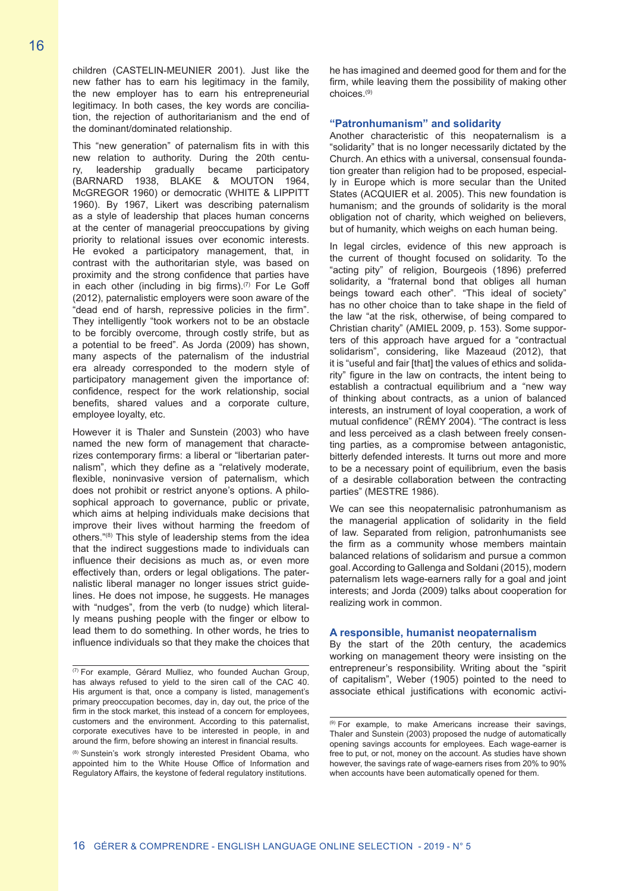children (CASTELIN-MEUNIER 2001). Just like the new father has to earn his legitimacy in the family, the new employer has to earn his entrepreneurial legitimacy. In both cases, the key words are conciliation, the rejection of authoritarianism and the end of the dominant/dominated relationship.

This "new generation" of paternalism fits in with this new relation to authority. During the 20th centu-<br>ry. leadership gradually became participatory ry, leadership gradually became participatory (BARNARD 1938, BLAKE & MOUTON 1964, McGREGOR 1960) or democratic (WHITE & LIPPITT 1960). By 1967, Likert was describing paternalism as a style of leadership that places human concerns at the center of managerial preoccupations by giving priority to relational issues over economic interests. He evoked a participatory management, that, in contrast with the authoritarian style, was based on proximity and the strong confidence that parties have in each other (including in big firms). $(7)$  For Le Goff (2012), paternalistic employers were soon aware of the "dead end of harsh, repressive policies in the firm". They intelligently "took workers not to be an obstacle to be forcibly overcome, through costly strife, but as a potential to be freed". As Jorda (2009) has shown, many aspects of the paternalism of the industrial era already corresponded to the modern style of participatory management given the importance of: confidence, respect for the work relationship, social benefits, shared values and a corporate culture, employee loyalty, etc.

However it is Thaler and Sunstein (2003) who have named the new form of management that characterizes contemporary firms: a liberal or "libertarian paternalism", which they define as a "relatively moderate, flexible, noninvasive version of paternalism, which does not prohibit or restrict anyone's options. A philosophical approach to governance, public or private, which aims at helping individuals make decisions that improve their lives without harming the freedom of others."(8) This style of leadership stems from the idea that the indirect suggestions made to individuals can influence their decisions as much as, or even more effectively than, orders or legal obligations. The paternalistic liberal manager no longer issues strict guidelines. He does not impose, he suggests. He manages with "nudges", from the verb (to nudge) which literally means pushing people with the finger or elbow to lead them to do something. In other words, he tries to influence individuals so that they make the choices that he has imagined and deemed good for them and for the firm, while leaving them the possibility of making other choices.(9)

#### **"Patronhumanism" and solidarity**

Another characteristic of this neopaternalism is a "solidarity" that is no longer necessarily dictated by the Church. An ethics with a universal, consensual foundation greater than religion had to be proposed, especially in Europe which is more secular than the United States (ACQUIER et al. 2005). This new foundation is humanism; and the grounds of solidarity is the moral obligation not of charity, which weighed on believers, but of humanity, which weighs on each human being.

In legal circles, evidence of this new approach is the current of thought focused on solidarity. To the "acting pity" of religion, Bourgeois (1896) preferred solidarity, a "fraternal bond that obliges all human beings toward each other". "This ideal of society" has no other choice than to take shape in the field of the law "at the risk, otherwise, of being compared to Christian charity" (AMIEL 2009, p. 153). Some supporters of this approach have argued for a "contractual solidarism", considering, like Mazeaud (2012), that it is "useful and fair [that] the values of ethics and solidarity" figure in the law on contracts, the intent being to establish a contractual equilibrium and a "new way of thinking about contracts, as a union of balanced interests, an instrument of loyal cooperation, a work of mutual confidence" (RÉMY 2004). "The contract is less and less perceived as a clash between freely consenting parties, as a compromise between antagonistic, bitterly defended interests. It turns out more and more to be a necessary point of equilibrium, even the basis of a desirable collaboration between the contracting parties" (MESTRE 1986).

We can see this neopaternalisic patronhumanism as the managerial application of solidarity in the field of law. Separated from religion, patronhumanists see the firm as a community whose members maintain balanced relations of solidarism and pursue a common goal. According to Gallenga and Soldani (2015), modern paternalism lets wage-earners rally for a goal and joint interests; and Jorda (2009) talks about cooperation for realizing work in common.

#### **A responsible, humanist neopaternalism**

By the start of the 20th century, the academics working on management theory were insisting on the entrepreneur's responsibility. Writing about the "spirit of capitalism", Weber (1905) pointed to the need to associate ethical justifications with economic activi-

<sup>(7)</sup> For example, Gérard Mulliez, who founded Auchan Group, has always refused to yield to the siren call of the CAC 40. His argument is that, once a company is listed, management's primary preoccupation becomes, day in, day out, the price of the firm in the stock market, this instead of a concern for employees, customers and the environment. According to this paternalist, corporate executives have to be interested in people, in and around the firm, before showing an interest in financial results.

<sup>(8)</sup> Sunstein's work strongly interested President Obama, who appointed him to the White House Office of Information and Regulatory Affairs, the keystone of federal regulatory institutions.

<sup>(9)</sup> For example, to make Americans increase their savings, Thaler and Sunstein (2003) proposed the nudge of automatically opening savings accounts for employees. Each wage-earner is free to put, or not, money on the account. As studies have shown however, the savings rate of wage-earners rises from 20% to 90% when accounts have been automatically opened for them.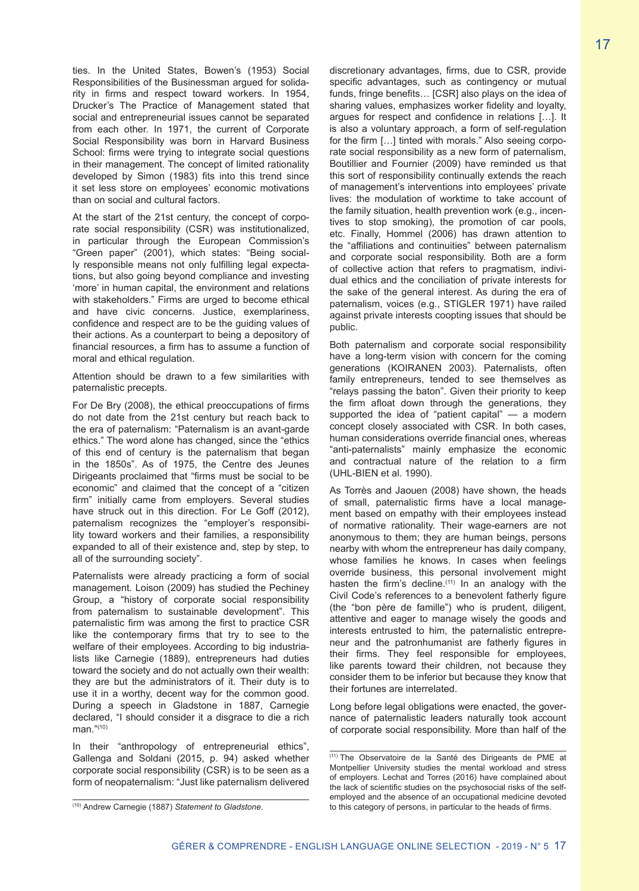ties. In the United States, Bowen's (1953) Social Responsibilities of the Businessman argued for solidarity in firms and respect toward workers. In 1954, Drucker's The Practice of Management stated that social and entrepreneurial issues cannot be separated from each other. In 1971, the current of Corporate Social Responsibility was born in Harvard Business School: firms were trying to integrate social questions in their management. The concept of limited rationality developed by Simon (1983) fits into this trend since it set less store on employees' economic motivations than on social and cultural factors.

At the start of the 21st century, the concept of corporate social responsibility (CSR) was institutionalized, in particular through the European Commission's "Green paper" (2001), which states: "Being socially responsible means not only fulfilling legal expectations, but also going beyond compliance and investing 'more' in human capital, the environment and relations with stakeholders." Firms are urged to become ethical and have civic concerns. Justice, exemplariness, confidence and respect are to be the guiding values of their actions. As a counterpart to being a depository of financial resources, a firm has to assume a function of moral and ethical regulation.

Attention should be drawn to a few similarities with paternalistic precepts.

For De Bry (2008), the ethical preoccupations of firms do not date from the 21st century but reach back to the era of paternalism: "Paternalism is an avant-garde ethics." The word alone has changed, since the "ethics of this end of century is the paternalism that began in the 1850s". As of 1975, the Centre des Jeunes Dirigeants proclaimed that "firms must be social to be economic" and claimed that the concept of a "citizen firm" initially came from employers. Several studies have struck out in this direction. For Le Goff (2012), paternalism recognizes the "employer's responsibility toward workers and their families, a responsibility expanded to all of their existence and, step by step, to all of the surrounding society".

Paternalists were already practicing a form of social management. Loison (2009) has studied the Pechiney Group, a "history of corporate social responsibility from paternalism to sustainable development". This paternalistic firm was among the first to practice CSR like the contemporary firms that try to see to the welfare of their employees. According to big industrialists like Carnegie (1889), entrepreneurs had duties toward the society and do not actually own their wealth: they are but the administrators of it. Their duty is to use it in a worthy, decent way for the common good. During a speech in Gladstone in 1887, Carnegie declared, "I should consider it a disgrace to die a rich man<sup>"(10)</sup>

In their "anthropology of entrepreneurial ethics", Gallenga and Soldani (2015, p. 94) asked whether corporate social responsibility (CSR) is to be seen as a form of neopaternalism: "Just like paternalism delivered

discretionary advantages, firms, due to CSR, provide specific advantages, such as contingency or mutual funds, fringe benefits… [CSR] also plays on the idea of sharing values, emphasizes worker fidelity and loyalty, argues for respect and confidence in relations […]. It is also a voluntary approach, a form of self-regulation for the firm […] tinted with morals." Also seeing corporate social responsibility as a new form of paternalism, Boutillier and Fournier (2009) have reminded us that this sort of responsibility continually extends the reach of management's interventions into employees' private lives: the modulation of worktime to take account of the family situation, health prevention work (e.g., incentives to stop smoking), the promotion of car pools, etc. Finally, Hommel (2006) has drawn attention to the "affiliations and continuities" between paternalism and corporate social responsibility. Both are a form of collective action that refers to pragmatism, individual ethics and the conciliation of private interests for the sake of the general interest. As during the era of paternalism, voices (e.g., STIGLER 1971) have railed against private interests coopting issues that should be public.

Both paternalism and corporate social responsibility have a long-term vision with concern for the coming generations (KOIRANEN 2003). Paternalists, often family entrepreneurs, tended to see themselves as "relays passing the baton". Given their priority to keep the firm afloat down through the generations, they supported the idea of "patient capital" — a modern concept closely associated with CSR. In both cases, human considerations override financial ones, whereas "anti-paternalists" mainly emphasize the economic and contractual nature of the relation to a firm (UHL-BIEN et al. 1990).

As Torrès and Jaouen (2008) have shown, the heads of small, paternalistic firms have a local management based on empathy with their employees instead of normative rationality. Their wage-earners are not anonymous to them; they are human beings, persons nearby with whom the entrepreneur has daily company, whose families he knows. In cases when feelings override business, this personal involvement might hasten the firm's decline.<sup>(11)</sup> In an analogy with the Civil Code's references to a benevolent fatherly figure (the "bon père de famille") who is prudent, diligent, attentive and eager to manage wisely the goods and interests entrusted to him, the paternalistic entrepreneur and the patronhumanist are fatherly figures in their firms. They feel responsible for employees, like parents toward their children, not because they consider them to be inferior but because they know that their fortunes are interrelated.

Long before legal obligations were enacted, the governance of paternalistic leaders naturally took account of corporate social responsibility. More than half of the

<sup>(10)</sup> Andrew Carnegie (1887) *Statement to Gladstone*.

<sup>(11)</sup> The Observatoire de la Santé des Dirigeants de PME at Montpellier University studies the mental workload and stress of employers. Lechat and Torres (2016) have complained about the lack of scientific studies on the psychosocial risks of the selfemployed and the absence of an occupational medicine devoted to this category of persons, in particular to the heads of firms.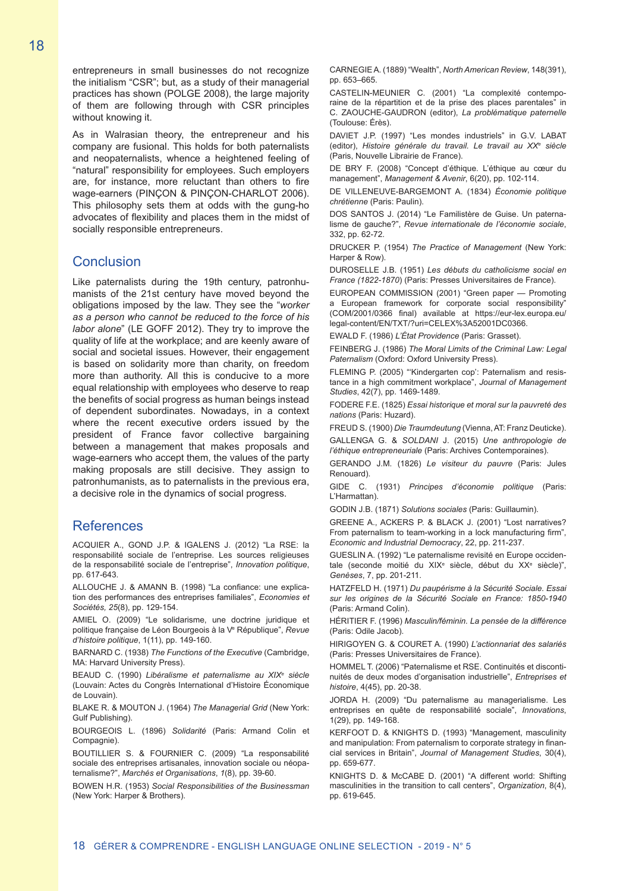entrepreneurs in small businesses do not recognize the initialism "CSR"; but, as a study of their managerial practices has shown (POLGE 2008), the large majority of them are following through with CSR principles without knowing it.

As in Walrasian theory, the entrepreneur and his company are fusional. This holds for both paternalists and neopaternalists, whence a heightened feeling of "natural" responsibility for employees. Such employers are, for instance, more reluctant than others to fire wage-earners (PINÇON & PINÇON-CHARLOT 2006). This philosophy sets them at odds with the gung-ho advocates of flexibility and places them in the midst of socially responsible entrepreneurs.

## **Conclusion**

Like paternalists during the 19th century, patronhumanists of the 21st century have moved beyond the obligations imposed by the law. They see the "*worker as a person who cannot be reduced to the force of his labor alone*" (LE GOFF 2012). They try to improve the quality of life at the workplace; and are keenly aware of social and societal issues. However, their engagement is based on solidarity more than charity, on freedom more than authority. All this is conducive to a more equal relationship with employees who deserve to reap the benefits of social progress as human beings instead of dependent subordinates. Nowadays, in a context where the recent executive orders issued by the president of France favor collective bargaining between a management that makes proposals and wage-earners who accept them, the values of the party making proposals are still decisive. They assign to patronhumanists, as to paternalists in the previous era, a decisive role in the dynamics of social progress.

## References

ACQUIER A., GOND J.P. & IGALENS J. (2012) "La RSE: la responsabilité sociale de l'entreprise. Les sources religieuses de la responsabilité sociale de l'entreprise", *Innovation politique*, pp. 617-643.

ALLOUCHE J. & AMANN B. (1998) "La confiance: une explication des performances des entreprises familiales", *Economies et Sociétés, 25*(8), pp. 129-154.

AMIEL O. (2009) "Le solidarisme, une doctrine juridique et politique française de Léon Bourgeois à la Ve République", *Revue d'histoire politique*, 1(11), pp. 149-160.

BARNARD C. (1938) *The Functions of the Executive* (Cambridge, MA: Harvard University Press).

BEAUD C. (1990) *Libéralisme et paternalisme au XIXe siècle* (Louvain: Actes du Congrès International d'Histoire Économique de Louvain).

BLAKE R. & MOUTON J. (1964) *The Managerial Grid* (New York: Gulf Publishing).

BOURGEOIS L. (1896) *Solidarité* (Paris: Armand Colin et Compagnie).

BOUTILLIER S. & FOURNIER C. (2009) "La responsabilité sociale des entreprises artisanales, innovation sociale ou néopaternalisme?", *Marchés et Organisations*, *1*(8), pp. 39-60.

BOWEN H.R. (1953) *Social Responsibilities of the Businessman* (New York: Harper & Brothers).

CARNEGIEA. (1889) "Wealth", *North American Review*, 148(391), pp. 653–665.

CASTELIN-MEUNIER C. (2001) "La complexité contemporaine de la répartition et de la prise des places parentales" in C. ZAOUCHE-GAUDRON (editor), *La problématique paternelle* (Toulouse: Érès).

DAVIET J.P. (1997) "Les mondes industriels" in G.V. LABAT (editor), *Histoire générale du travail. Le travail au XXe siècle* (Paris, Nouvelle Librairie de France).

DE BRY F. (2008) "Concept d'éthique. L'éthique au cœur du management", *Management & Avenir*, 6(20), pp. 102-114.

DE VILLENEUVE-BARGEMONT A. (1834) *Économie politique chrétienne* (Paris: Paulin).

DOS SANTOS J. (2014) "Le Familistère de Guise. Un paternalisme de gauche?", *Revue internationale de l'économie sociale*, 332, pp. 62-72.

DRUCKER P. (1954) *The Practice of Management* (New York: Harper & Row).

DUROSELLE J.B. (1951) *Les débuts du catholicisme social en France (1822-1870*) (Paris: Presses Universitaires de France).

EUROPEAN COMMISSION (2001) "Green paper — Promoting a European framework for corporate social responsibility" (COM/2001/0366 final) available at https://eur-lex.europa.eu/ legal-content/EN/TXT/?uri=CELEX%3A52001DC0366.

EWALD F. (1986) *L'État Providence* (Paris: Grasset).

FEINBERG J. (1986) *The Moral Limits of the Criminal Law: Legal Paternalism* (Oxford: Oxford University Press).

FLEMING P. (2005) "'Kindergarten cop': Paternalism and resistance in a high commitment workplace", *Journal of Management Studies*, 42(7), pp. 1469-1489.

FODERE F.E. (1825) *Essai historique et moral sur la pauvreté des nations* (Paris: Huzard).

FREUD S. (1900) *Die Traumdeutung* (Vienna, AT: Franz Deuticke).

GALLENGA G. & *SOLDANI* J. (2015) *Une anthropologie de l'éthique entrepreneuriale* (Paris: Archives Contemporaines).

GERANDO J.M. (1826) *Le visiteur du pauvre* (Paris: Jules Renouard).

GIDE C. (1931) *Principes d'économie politique* (Paris: L'Harmattan).

GODIN J.B. (1871) *Solutions sociales* (Paris: Guillaumin).

GREENE A., ACKERS P. & BLACK J. (2001) "Lost narratives? From paternalism to team-working in a lock manufacturing firm", *Economic and Industrial Democracy*, 22, pp. 211-237.

GUESLIN A. (1992) "Le paternalisme revisité en Europe occidentale (seconde moitié du XIX<sup>e</sup> siècle, début du XX<sup>e</sup> siècle)", *Genèses*, 7, pp. 201-211.

HATZFELD H. (1971) *Du paupérisme à la Sécurité Sociale. Essai sur les origines de la Sécurité Sociale en France: 1850-1940* (Paris: Armand Colin).

HÉRITIER F. (1996) *Masculin/féminin. La pensée de la différence* (Paris: Odile Jacob).

HIRIGOYEN G. & COURET A. (1990) *L'actionnariat des salariés* (Paris: Presses Universitaires de France).

HOMMEL T. (2006) "Paternalisme et RSE. Continuités et discontinuités de deux modes d'organisation industrielle", *Entreprises et histoire*, 4(45), pp. 20-38.

JORDA H. (2009) "Du paternalisme au managerialisme. Les entreprises en quête de responsabilité sociale", *Innovations*, 1(29), pp. 149-168.

KERFOOT D. & KNIGHTS D. (1993) "Management, masculinity and manipulation: From paternalism to corporate strategy in financial services in Britain", *Journal of Management Studies*, 30(4), pp. 659-677.

KNIGHTS D. & McCABE D. (2001) "A different world: Shifting masculinities in the transition to call centers", *Organization*, 8(4), pp. 619-645.